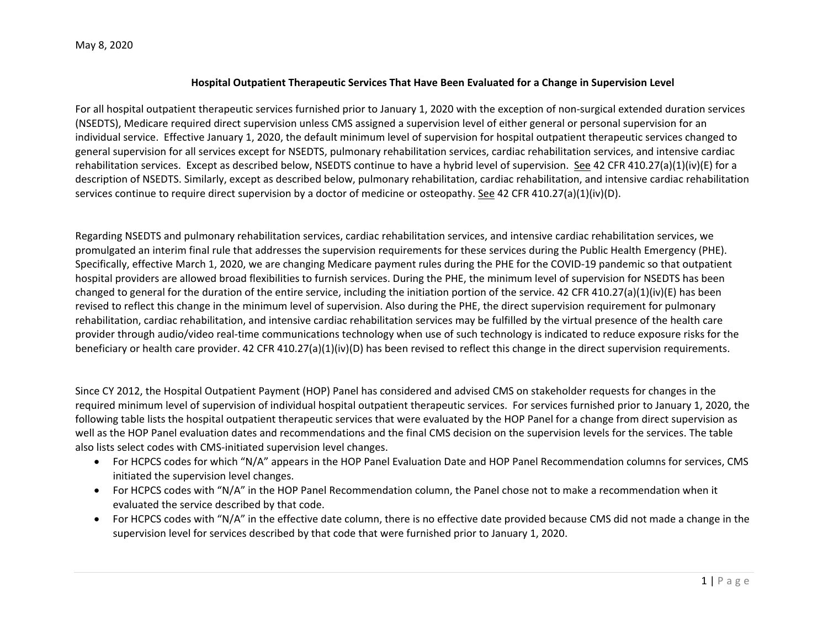## May 8, 2020

## **Hospital Outpatient Therapeutic Services That Have Been Evaluated for a Change in Supervision Level**

For all hospital outpatient therapeutic services furnished prior to January 1, 2020 with the exception of non-surgical extended duration services (NSEDTS), Medicare required direct supervision unless CMS assigned a supervision level of either general or personal supervision for an individual service. Effective January 1, 2020, the default minimum level of supervision for hospital outpatient therapeutic services changed to general supervision for all services except for NSEDTS, pulmonary rehabilitation services, cardiac rehabilitation services, and intensive cardiac rehabilitation services. Except as described below, NSEDTS continue to have a hybrid level of supervision. See 42 CFR 410.27(a)(1)(iv)(E) for a description of NSEDTS. Similarly, except as described below, pulmonary rehabilitation, cardiac rehabilitation, and intensive cardiac rehabilitation services continue to require direct supervision by a doctor of medicine or osteopathy. See 42 CFR 410.27(a)(1)(iv)(D).

Regarding NSEDTS and pulmonary rehabilitation services, cardiac rehabilitation services, and intensive cardiac rehabilitation services, we promulgated an interim final rule that addresses the supervision requirements for these services during the Public Health Emergency (PHE). Specifically, effective March 1, 2020, we are changing Medicare payment rules during the PHE for the COVID‐19 pandemic so that outpatient hospital providers are allowed broad flexibilities to furnish services. During the PHE, the minimum level of supervision for NSEDTS has been changed to general for the duration of the entire service, including the initiation portion of the service. 42 CFR 410.27(a)(1)(iv)(E) has been revised to reflect this change in the minimum level of supervision. Also during the PHE, the direct supervision requirement for pulmonary rehabilitation, cardiac rehabilitation, and intensive cardiac rehabilitation services may be fulfilled by the virtual presence of the health care provider through audio/video real‐time communications technology when use of such technology is indicated to reduce exposure risks for the beneficiary or health care provider. 42 CFR 410.27(a)(1)(iv)(D) has been revised to reflect this change in the direct supervision requirements.

Since CY 2012, the Hospital Outpatient Payment (HOP) Panel has considered and advised CMS on stakeholder requests for changes in the required minimum level of supervision of individual hospital outpatient therapeutic services. For services furnished prior to January 1, 2020, the following table lists the hospital outpatient therapeutic services that were evaluated by the HOP Panel for a change from direct supervision as well as the HOP Panel evaluation dates and recommendations and the final CMS decision on the supervision levels for the services. The table also lists select codes with CMS‐initiated supervision level changes.

- For HCPCS codes for which "N/A" appears in the HOP Panel Evaluation Date and HOP Panel Recommendation columns for services, CMS initiated the supervision level changes.
- For HCPCS codes with "N/A" in the HOP Panel Recommendation column, the Panel chose not to make a recommendation when it evaluated the service described by that code.
- For HCPCS codes with "N/A" in the effective date column, there is no effective date provided because CMS did not made a change in the supervision level for services described by that code that were furnished prior to January 1, 2020.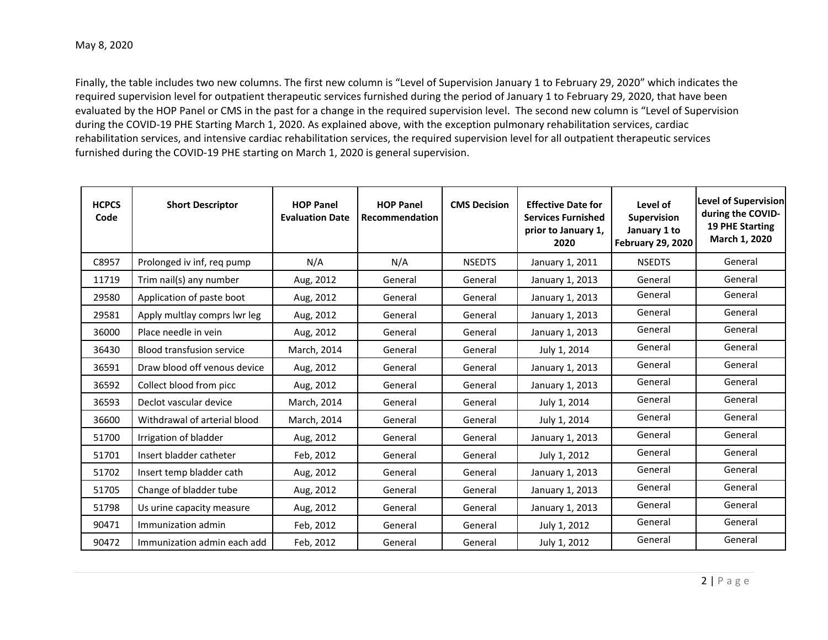Finally, the table includes two new columns. The first new column is "Level of Supervision January 1 to February 29, 2020" which indicates the required supervision level for outpatient therapeutic services furnished during the period of January 1 to February 29, 2020, that have been evaluated by the HOP Panel or CMS in the past for a change in the required supervision level. The second new column is "Level of Supervision during the COVID‐19 PHE Starting March 1, 2020. As explained above, with the exception pulmonary rehabilitation services, cardiac rehabilitation services, and intensive cardiac rehabilitation services, the required supervision level for all outpatient therapeutic services furnished during the COVID‐19 PHE starting on March 1, 2020 is general supervision.

| <b>HCPCS</b><br>Code | <b>Short Descriptor</b>          | <b>HOP Panel</b><br><b>Evaluation Date</b> | <b>HOP Panel</b><br>Recommendation | <b>CMS Decision</b> | <b>Effective Date for</b><br><b>Services Furnished</b><br>prior to January 1,<br>2020 | Level of<br>Supervision<br>January 1 to<br><b>February 29, 2020</b> | <b>Level of Supervision</b><br>during the COVID-<br><b>19 PHE Starting</b><br>March 1, 2020 |
|----------------------|----------------------------------|--------------------------------------------|------------------------------------|---------------------|---------------------------------------------------------------------------------------|---------------------------------------------------------------------|---------------------------------------------------------------------------------------------|
| C8957                | Prolonged iv inf, req pump       | N/A                                        | N/A                                | <b>NSEDTS</b>       | January 1, 2011                                                                       | <b>NSEDTS</b>                                                       | General                                                                                     |
| 11719                | Trim nail(s) any number          | Aug, 2012                                  | General                            | General             | January 1, 2013                                                                       | General                                                             | General                                                                                     |
| 29580                | Application of paste boot        | Aug, 2012                                  | General                            | General             | January 1, 2013                                                                       | General                                                             | General                                                                                     |
| 29581                | Apply multlay comprs lwr leg     | Aug, 2012                                  | General                            | General             | January 1, 2013                                                                       | General                                                             | General                                                                                     |
| 36000                | Place needle in yein             | Aug, 2012                                  | General                            | General             | January 1, 2013                                                                       | General                                                             | General                                                                                     |
| 36430                | <b>Blood transfusion service</b> | March, 2014                                | General                            | General             | July 1, 2014                                                                          | General                                                             | General                                                                                     |
| 36591                | Draw blood off venous device     | Aug, 2012                                  | General                            | General             | January 1, 2013                                                                       | General                                                             | General                                                                                     |
| 36592                | Collect blood from picc          | Aug, 2012                                  | General                            | General             | January 1, 2013                                                                       | General                                                             | General                                                                                     |
| 36593                | Declot vascular device           | March, 2014                                | General                            | General             | July 1, 2014                                                                          | General                                                             | General                                                                                     |
| 36600                | Withdrawal of arterial blood     | March, 2014                                | General                            | General             | July 1, 2014                                                                          | General                                                             | General                                                                                     |
| 51700                | Irrigation of bladder            | Aug, 2012                                  | General                            | General             | January 1, 2013                                                                       | General                                                             | General                                                                                     |
| 51701                | Insert bladder catheter          | Feb, 2012                                  | General                            | General             | July 1, 2012                                                                          | General                                                             | General                                                                                     |
| 51702                | Insert temp bladder cath         | Aug, 2012                                  | General                            | General             | January 1, 2013                                                                       | General                                                             | General                                                                                     |
| 51705                | Change of bladder tube           | Aug, 2012                                  | General                            | General             | January 1, 2013                                                                       | General                                                             | General                                                                                     |
| 51798                | Us urine capacity measure        | Aug, 2012                                  | General                            | General             | January 1, 2013                                                                       | General                                                             | General                                                                                     |
| 90471                | Immunization admin               | Feb, 2012                                  | General                            | General             | July 1, 2012                                                                          | General                                                             | General                                                                                     |
| 90472                | Immunization admin each add      | Feb, 2012                                  | General                            | General             | July 1, 2012                                                                          | General                                                             | General                                                                                     |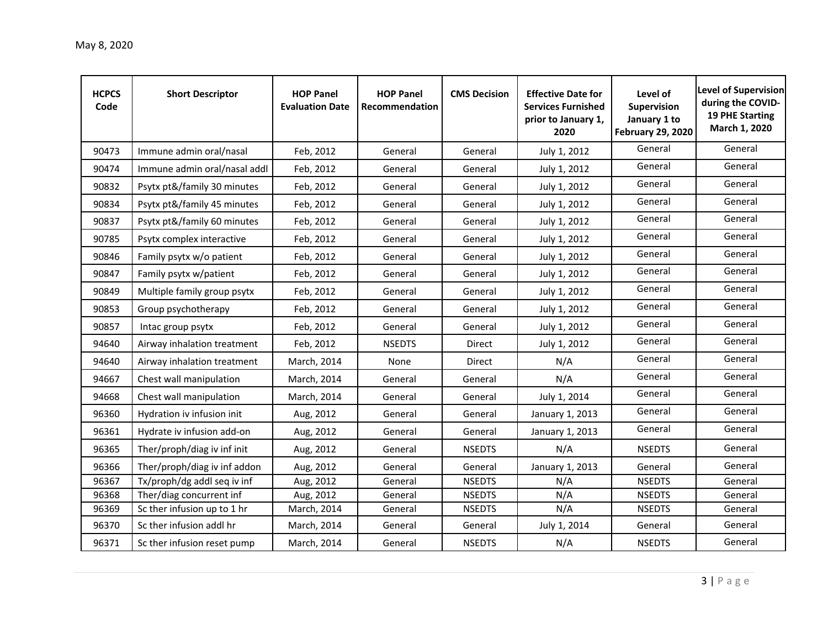| <b>HCPCS</b><br>Code | <b>Short Descriptor</b>      | <b>HOP Panel</b><br><b>Evaluation Date</b> | <b>HOP Panel</b><br>Recommendation | <b>CMS Decision</b> | <b>Effective Date for</b><br><b>Services Furnished</b><br>prior to January 1,<br>2020 | Level of<br>Supervision<br>January 1 to<br><b>February 29, 2020</b> | <b>Level of Supervision</b><br>during the COVID-<br><b>19 PHE Starting</b><br>March 1, 2020 |
|----------------------|------------------------------|--------------------------------------------|------------------------------------|---------------------|---------------------------------------------------------------------------------------|---------------------------------------------------------------------|---------------------------------------------------------------------------------------------|
| 90473                | Immune admin oral/nasal      | Feb, 2012                                  | General                            | General             | July 1, 2012                                                                          | General                                                             | General                                                                                     |
| 90474                | Immune admin oral/nasal addl | Feb, 2012                                  | General                            | General             | July 1, 2012                                                                          | General                                                             | General                                                                                     |
| 90832                | Psytx pt&/family 30 minutes  | Feb, 2012                                  | General                            | General             | July 1, 2012                                                                          | General                                                             | General                                                                                     |
| 90834                | Psytx pt&/family 45 minutes  | Feb, 2012                                  | General                            | General             | July 1, 2012                                                                          | General                                                             | General                                                                                     |
| 90837                | Psytx pt&/family 60 minutes  | Feb, 2012                                  | General                            | General             | July 1, 2012                                                                          | General                                                             | General                                                                                     |
| 90785                | Psytx complex interactive    | Feb, 2012                                  | General                            | General             | July 1, 2012                                                                          | General                                                             | General                                                                                     |
| 90846                | Family psytx w/o patient     | Feb, 2012                                  | General                            | General             | July 1, 2012                                                                          | General                                                             | General                                                                                     |
| 90847                | Family psytx w/patient       | Feb, 2012                                  | General                            | General             | July 1, 2012                                                                          | General                                                             | General                                                                                     |
| 90849                | Multiple family group psytx  | Feb, 2012                                  | General                            | General             | July 1, 2012                                                                          | General                                                             | General                                                                                     |
| 90853                | Group psychotherapy          | Feb, 2012                                  | General                            | General             | July 1, 2012                                                                          | General                                                             | General                                                                                     |
| 90857                | Intac group psytx            | Feb, 2012                                  | General                            | General             | July 1, 2012                                                                          | General                                                             | General                                                                                     |
| 94640                | Airway inhalation treatment  | Feb, 2012                                  | <b>NSEDTS</b>                      | Direct              | July 1, 2012                                                                          | General                                                             | General                                                                                     |
| 94640                | Airway inhalation treatment  | March, 2014                                | None                               | Direct              | N/A                                                                                   | General                                                             | General                                                                                     |
| 94667                | Chest wall manipulation      | March, 2014                                | General                            | General             | N/A                                                                                   | General                                                             | General                                                                                     |
| 94668                | Chest wall manipulation      | March, 2014                                | General                            | General             | July 1, 2014                                                                          | General                                                             | General                                                                                     |
| 96360                | Hydration iv infusion init   | Aug, 2012                                  | General                            | General             | January 1, 2013                                                                       | General                                                             | General                                                                                     |
| 96361                | Hydrate iv infusion add-on   | Aug, 2012                                  | General                            | General             | January 1, 2013                                                                       | General                                                             | General                                                                                     |
| 96365                | Ther/proph/diag iv inf init  | Aug, 2012                                  | General                            | <b>NSEDTS</b>       | N/A                                                                                   | <b>NSEDTS</b>                                                       | General                                                                                     |
| 96366                | Ther/proph/diag iv inf addon | Aug, 2012                                  | General                            | General             | January 1, 2013                                                                       | General                                                             | General                                                                                     |
| 96367                | Tx/proph/dg addl seq iv inf  | Aug, 2012                                  | General                            | <b>NSEDTS</b>       | N/A                                                                                   | <b>NSEDTS</b>                                                       | General                                                                                     |
| 96368                | Ther/diag concurrent inf     | Aug, 2012                                  | General                            | <b>NSEDTS</b>       | N/A                                                                                   | <b>NSEDTS</b>                                                       | General                                                                                     |
| 96369                | Sc ther infusion up to 1 hr  | March, 2014                                | General                            | <b>NSEDTS</b>       | N/A                                                                                   | <b>NSEDTS</b>                                                       | General                                                                                     |
| 96370                | Sc ther infusion addl hr     | March, 2014                                | General                            | General             | July 1, 2014                                                                          | General                                                             | General                                                                                     |
| 96371                | Sc ther infusion reset pump  | March, 2014                                | General                            | <b>NSEDTS</b>       | N/A                                                                                   | <b>NSEDTS</b>                                                       | General                                                                                     |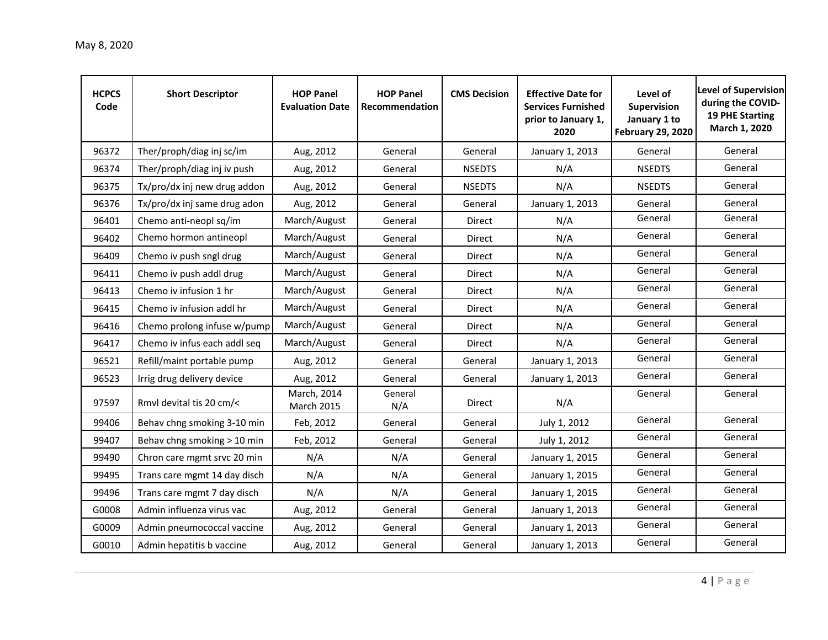| <b>HCPCS</b><br>Code | <b>Short Descriptor</b>      | <b>HOP Panel</b><br><b>Evaluation Date</b> | <b>HOP Panel</b><br>Recommendation | <b>CMS Decision</b> | <b>Effective Date for</b><br><b>Services Furnished</b><br>prior to January 1,<br>2020 | Level of<br>Supervision<br>January 1 to<br><b>February 29, 2020</b> | <b>Level of Supervision</b><br>during the COVID-<br><b>19 PHE Starting</b><br>March 1, 2020 |
|----------------------|------------------------------|--------------------------------------------|------------------------------------|---------------------|---------------------------------------------------------------------------------------|---------------------------------------------------------------------|---------------------------------------------------------------------------------------------|
| 96372                | Ther/proph/diag inj sc/im    | Aug, 2012                                  | General                            | General             | January 1, 2013                                                                       | General                                                             | General                                                                                     |
| 96374                | Ther/proph/diag inj iv push  | Aug, 2012                                  | General                            | <b>NSEDTS</b>       | N/A                                                                                   | <b>NSEDTS</b>                                                       | General                                                                                     |
| 96375                | Tx/pro/dx inj new drug addon | Aug, 2012                                  | General                            | <b>NSEDTS</b>       | N/A                                                                                   | <b>NSEDTS</b>                                                       | General                                                                                     |
| 96376                | Tx/pro/dx inj same drug adon | Aug, 2012                                  | General                            | General             | January 1, 2013                                                                       | General                                                             | General                                                                                     |
| 96401                | Chemo anti-neopl sq/im       | March/August                               | General                            | Direct              | N/A                                                                                   | General                                                             | General                                                                                     |
| 96402                | Chemo hormon antineopl       | March/August                               | General                            | Direct              | N/A                                                                                   | General                                                             | General                                                                                     |
| 96409                | Chemo iv push sngl drug      | March/August                               | General                            | Direct              | N/A                                                                                   | General                                                             | General                                                                                     |
| 96411                | Chemo iv push addl drug      | March/August                               | General                            | Direct              | N/A                                                                                   | General                                                             | General                                                                                     |
| 96413                | Chemo iv infusion 1 hr       | March/August                               | General                            | Direct              | N/A                                                                                   | General                                                             | General                                                                                     |
| 96415                | Chemo iv infusion addl hr    | March/August                               | General                            | <b>Direct</b>       | N/A                                                                                   | General                                                             | General                                                                                     |
| 96416                | Chemo prolong infuse w/pump  | March/August                               | General                            | Direct              | N/A                                                                                   | General                                                             | General                                                                                     |
| 96417                | Chemo iv infus each addl seq | March/August                               | General                            | Direct              | N/A                                                                                   | General                                                             | General                                                                                     |
| 96521                | Refill/maint portable pump   | Aug, 2012                                  | General                            | General             | January 1, 2013                                                                       | General                                                             | General                                                                                     |
| 96523                | Irrig drug delivery device   | Aug, 2012                                  | General                            | General             | January 1, 2013                                                                       | General                                                             | General                                                                                     |
| 97597                | Rmvl devital tis 20 cm/<     | March, 2014<br>March 2015                  | General<br>N/A                     | <b>Direct</b>       | N/A                                                                                   | General                                                             | General                                                                                     |
| 99406                | Behav chng smoking 3-10 min  | Feb, 2012                                  | General                            | General             | July 1, 2012                                                                          | General                                                             | General                                                                                     |
| 99407                | Behav chng smoking > 10 min  | Feb, 2012                                  | General                            | General             | July 1, 2012                                                                          | General                                                             | General                                                                                     |
| 99490                | Chron care mgmt srvc 20 min  | N/A                                        | N/A                                | General             | January 1, 2015                                                                       | General                                                             | General                                                                                     |
| 99495                | Trans care mgmt 14 day disch | N/A                                        | N/A                                | General             | January 1, 2015                                                                       | General                                                             | General                                                                                     |
| 99496                | Trans care mgmt 7 day disch  | N/A                                        | N/A                                | General             | January 1, 2015                                                                       | General                                                             | General                                                                                     |
| G0008                | Admin influenza virus vac    | Aug, 2012                                  | General                            | General             | January 1, 2013                                                                       | General                                                             | General                                                                                     |
| G0009                | Admin pneumococcal vaccine   | Aug, 2012                                  | General                            | General             | January 1, 2013                                                                       | General                                                             | General                                                                                     |
| G0010                | Admin hepatitis b vaccine    | Aug, 2012                                  | General                            | General             | January 1, 2013                                                                       | General                                                             | General                                                                                     |